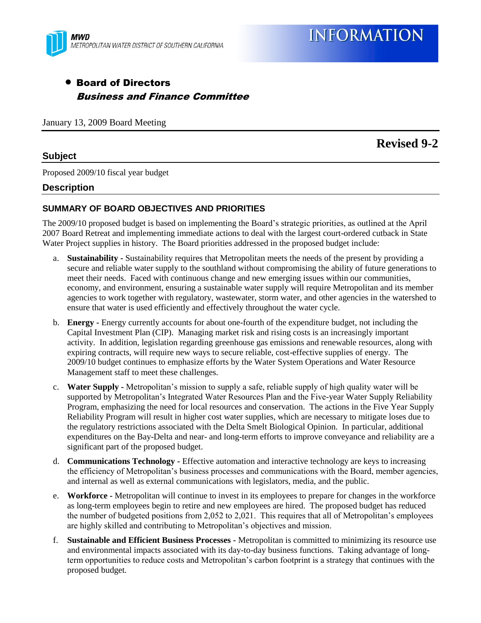

# Board of Directors Business and Finance Committee

January 13, 2009 Board Meeting

# **Revised 9-2**

#### **Subject**

Proposed 2009/10 fiscal year budget

#### **Description**

#### **SUMMARY OF BOARD OBJECTIVES AND PRIORITIES**

The 2009/10 proposed budget is based on implementing the Board's strategic priorities, as outlined at the April 2007 Board Retreat and implementing immediate actions to deal with the largest court-ordered cutback in State Water Project supplies in history. The Board priorities addressed in the proposed budget include:

- a. **Sustainability -** Sustainability requires that Metropolitan meets the needs of the present by providing a secure and reliable water supply to the southland without compromising the ability of future generations to meet their needs. Faced with continuous change and new emerging issues within our communities, economy, and environment, ensuring a sustainable water supply will require Metropolitan and its member agencies to work together with regulatory, wastewater, storm water, and other agencies in the watershed to ensure that water is used efficiently and effectively throughout the water cycle.
- b. **Energy -** Energy currently accounts for about one-fourth of the expenditure budget, not including the Capital Investment Plan (CIP). Managing market risk and rising costs is an increasingly important activity. In addition, legislation regarding greenhouse gas emissions and renewable resources, along with expiring contracts, will require new ways to secure reliable, cost-effective supplies of energy. The 2009/10 budget continues to emphasize efforts by the Water System Operations and Water Resource Management staff to meet these challenges.
- c. **Water Supply -** Metropolitan's mission to supply a safe, reliable supply of high quality water will be supported by Metropolitan's Integrated Water Resources Plan and the Five-year Water Supply Reliability Program, emphasizing the need for local resources and conservation. The actions in the Five Year Supply Reliability Program will result in higher cost water supplies, which are necessary to mitigate loses due to the regulatory restrictions associated with the Delta Smelt Biological Opinion. In particular, additional expenditures on the Bay-Delta and near- and long-term efforts to improve conveyance and reliability are a significant part of the proposed budget.
- d. **Communications Technology -** Effective automation and interactive technology are keys to increasing the efficiency of Metropolitan's business processes and communications with the Board, member agencies, and internal as well as external communications with legislators, media, and the public.
- e. **Workforce -** Metropolitan will continue to invest in its employees to prepare for changes in the workforce as long-term employees begin to retire and new employees are hired. The proposed budget has reduced the number of budgeted positions from 2,052 to 2,021. This requires that all of Metropolitan's employees are highly skilled and contributing to Metropolitan's objectives and mission.
- f. **Sustainable and Efficient Business Processes -** Metropolitan is committed to minimizing its resource use and environmental impacts associated with its day-to-day business functions. Taking advantage of longterm opportunities to reduce costs and Metropolitan's carbon footprint is a strategy that continues with the proposed budget.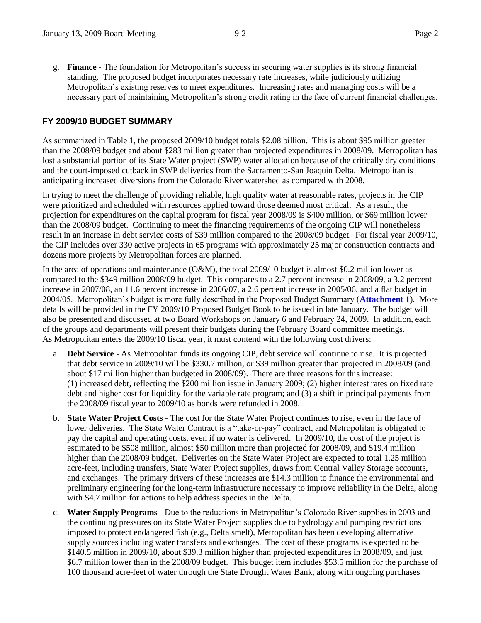g. **Finance -** The foundation for Metropolitan's success in securing water supplies is its strong financial standing. The proposed budget incorporates necessary rate increases, while judiciously utilizing Metropolitan's existing reserves to meet expenditures. Increasing rates and managing costs will be a necessary part of maintaining Metropolitan's strong credit rating in the face of current financial challenges.

#### **FY 2009/10 BUDGET SUMMARY**

As summarized in Table 1, the proposed 2009/10 budget totals \$2.08 billion. This is about \$95 million greater than the 2008/09 budget and about \$283 million greater than projected expenditures in 2008/09. Metropolitan has lost a substantial portion of its State Water project (SWP) water allocation because of the critically dry conditions and the court-imposed cutback in SWP deliveries from the Sacramento-San Joaquin Delta. Metropolitan is anticipating increased diversions from the Colorado River watershed as compared with 2008.

In trying to meet the challenge of providing reliable, high quality water at reasonable rates, projects in the CIP were prioritized and scheduled with resources applied toward those deemed most critical. As a result, the projection for expenditures on the capital program for fiscal year 2008/09 is \$400 million, or \$69 million lower than the 2008/09 budget. Continuing to meet the financing requirements of the ongoing CIP will nonetheless result in an increase in debt service costs of \$39 million compared to the 2008/09 budget. For fiscal year 2009/10, the CIP includes over 330 active projects in 65 programs with approximately 25 major construction contracts and dozens more projects by Metropolitan forces are planned.

In the area of operations and maintenance (O&M), the total 2009/10 budget is almost \$0.2 million lower as compared to the \$349 million 2008/09 budget. This compares to a 2.7 percent increase in 2008/09, a 3.2 percent increase in 2007/08, an 11.6 percent increase in 2006/07, a 2.6 percent increase in 2005/06, and a flat budget in 2004/05. Metropolitan's budget is more fully described in the Proposed Budget Summary (**Attachment 1**). More details will be provided in the FY 2009/10 Proposed Budget Book to be issued in late January. The budget will also be presented and discussed at two Board Workshops on January 6 and February 24, 2009. In addition, each of the groups and departments will present their budgets during the February Board committee meetings. As Metropolitan enters the 2009/10 fiscal year, it must contend with the following cost drivers:

- a. **Debt Service** As Metropolitan funds its ongoing CIP, debt service will continue to rise. It is projected that debt service in 2009/10 will be \$330.7 million, or \$39 million greater than projected in 2008/09 (and about \$17 million higher than budgeted in 2008/09). There are three reasons for this increase: (1) increased debt, reflecting the \$200 million issue in January 2009; (2) higher interest rates on fixed rate debt and higher cost for liquidity for the variable rate program; and (3) a shift in principal payments from the 2008/09 fiscal year to 2009/10 as bonds were refunded in 2008.
- b. **State Water Project Costs -** The cost for the State Water Project continues to rise, even in the face of lower deliveries. The State Water Contract is a "take-or-pay" contract, and Metropolitan is obligated to pay the capital and operating costs, even if no water is delivered. In 2009/10, the cost of the project is estimated to be \$508 million, almost \$50 million more than projected for 2008/09, and \$19.4 million higher than the 2008/09 budget. Deliveries on the State Water Project are expected to total 1.25 million acre-feet, including transfers, State Water Project supplies, draws from Central Valley Storage accounts, and exchanges. The primary drivers of these increases are \$14.3 million to finance the environmental and preliminary engineering for the long-term infrastructure necessary to improve reliability in the Delta, along with \$4.7 million for actions to help address species in the Delta.
- c. **Water Supply Programs -** Due to the reductions in Metropolitan's Colorado River supplies in 2003 and the continuing pressures on its State Water Project supplies due to hydrology and pumping restrictions imposed to protect endangered fish (e.g., Delta smelt), Metropolitan has been developing alternative supply sources including water transfers and exchanges. The cost of these programs is expected to be \$140.5 million in 2009/10, about \$39.3 million higher than projected expenditures in 2008/09, and just \$6.7 million lower than in the 2008/09 budget. This budget item includes \$53.5 million for the purchase of 100 thousand acre-feet of water through the State Drought Water Bank, along with ongoing purchases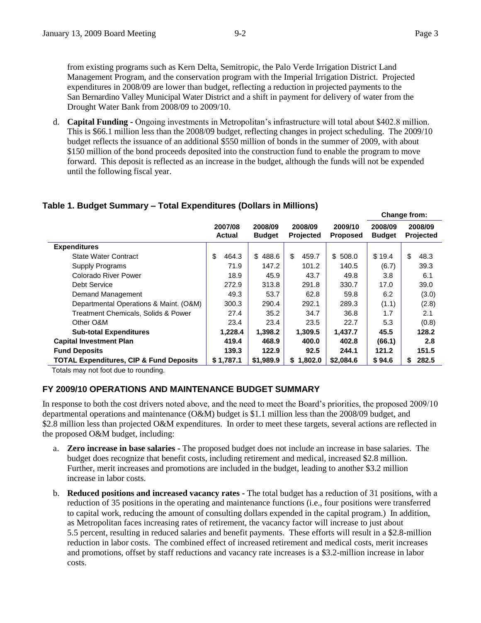from existing programs such as Kern Delta, Semitropic, the Palo Verde Irrigation District Land Management Program, and the conservation program with the Imperial Irrigation District. Projected expenditures in 2008/09 are lower than budget, reflecting a reduction in projected payments to the San Bernardino Valley Municipal Water District and a shift in payment for delivery of water from the Drought Water Bank from 2008/09 to 2009/10.

d. **Capital Funding -** Ongoing investments in Metropolitan's infrastructure will total about \$402.8 million. This is \$66.1 million less than the 2008/09 budget, reflecting changes in project scheduling. The 2009/10 budget reflects the issuance of an additional \$550 million of bonds in the summer of 2009, with about \$150 million of the bond proceeds deposited into the construction fund to enable the program to move forward. This deposit is reflected as an increase in the budget, although the funds will not be expended until the following fiscal year.

# **Table 1. Budget Summary – Total Expenditures (Dollars in Millions)**

|                                                    |                          |                                                         |             |                            |                          | Change from:         |
|----------------------------------------------------|--------------------------|---------------------------------------------------------|-------------|----------------------------|--------------------------|----------------------|
|                                                    | 2007/08<br><b>Actual</b> | 2008/09<br>2008/09<br><b>Projected</b><br><b>Budget</b> |             | 2009/10<br><b>Proposed</b> | 2008/09<br><b>Budget</b> | 2008/09<br>Projected |
| <b>Expenditures</b>                                |                          |                                                         |             |                            |                          |                      |
| <b>State Water Contract</b>                        | \$<br>464.3              | \$<br>488.6                                             | \$<br>459.7 | \$508.0                    | \$19.4                   | \$<br>48.3           |
| Supply Programs                                    | 71.9                     | 147.2                                                   | 101.2       | 140.5                      | (6.7)                    | 39.3                 |
| Colorado River Power                               | 18.9                     | 45.9                                                    | 43.7        | 49.8                       | 3.8                      | 6.1                  |
| <b>Debt Service</b>                                | 272.9                    | 313.8                                                   | 291.8       | 330.7                      | 17.0                     | 39.0                 |
| Demand Management                                  | 49.3                     | 53.7                                                    | 62.8        | 59.8                       | 6.2                      | (3.0)                |
| Departmental Operations & Maint. (O&M)             | 300.3                    | 290.4                                                   | 292.1       | 289.3                      | (1.1)                    | (2.8)                |
| Treatment Chemicals, Solids & Power                | 27.4                     | 35.2                                                    | 34.7        | 36.8                       | 1.7                      | 2.1                  |
| Other O&M                                          | 23.4                     | 23.4                                                    | 23.5        | 22.7                       | 5.3                      | (0.8)                |
| <b>Sub-total Expenditures</b>                      | 1,228.4                  | 1,398.2                                                 | 1,309.5     | 1,437.7                    | 45.5                     | 128.2                |
| <b>Capital Investment Plan</b>                     | 419.4                    | 468.9                                                   | 400.0       | 402.8                      | (66.1)                   | 2.8                  |
| <b>Fund Deposits</b>                               | 139.3                    | 122.9                                                   | 92.5        | 244.1                      | 121.2                    | 151.5                |
| <b>TOTAL Expenditures, CIP &amp; Fund Deposits</b> | \$1,787.1                | \$1,989.9                                               | \$1,802.0   | \$2,084.6                  | \$94.6                   | 282.5<br>\$          |

Totals may not foot due to rounding.

# **FY 2009/10 OPERATIONS AND MAINTENANCE BUDGET SUMMARY**

In response to both the cost drivers noted above, and the need to meet the Board's priorities, the proposed 2009/10 departmental operations and maintenance (O&M) budget is \$1.1 million less than the 2008/09 budget, and \$2.8 million less than projected O&M expenditures. In order to meet these targets, several actions are reflected in the proposed O&M budget, including:

- a. **Zero increase in base salaries -** The proposed budget does not include an increase in base salaries. The budget does recognize that benefit costs, including retirement and medical, increased \$2.8 million. Further, merit increases and promotions are included in the budget, leading to another \$3.2 million increase in labor costs.
- b. **Reduced positions and increased vacancy rates -** The total budget has a reduction of 31 positions, with a reduction of 35 positions in the operating and maintenance functions (i.e., four positions were transferred to capital work, reducing the amount of consulting dollars expended in the capital program.) In addition, as Metropolitan faces increasing rates of retirement, the vacancy factor will increase to just about 5.5 percent, resulting in reduced salaries and benefit payments. These efforts will result in a \$2.8-million reduction in labor costs. The combined effect of increased retirement and medical costs, merit increases and promotions, offset by staff reductions and vacancy rate increases is a \$3.2-million increase in labor costs.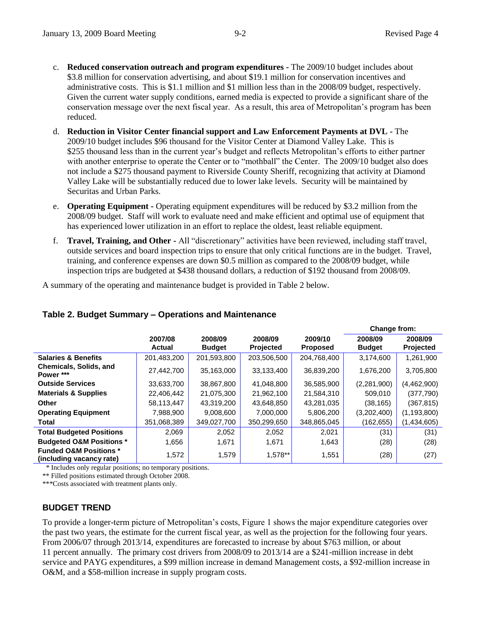- c. **Reduced conservation outreach and program expenditures -** The 2009/10 budget includes about \$3.8 million for conservation advertising, and about \$19.1 million for conservation incentives and administrative costs. This is \$1.1 million and \$1 million less than in the 2008/09 budget, respectively. Given the current water supply conditions, earned media is expected to provide a significant share of the conservation message over the next fiscal year. As a result, this area of Metropolitan's program has been reduced.
- d. **Reduction in Visitor Center financial support and Law Enforcement Payments at DVL -** The 2009/10 budget includes \$96 thousand for the Visitor Center at Diamond Valley Lake. This is \$255 thousand less than in the current year's budget and reflects Metropolitan's efforts to either partner with another enterprise to operate the Center or to "mothball" the Center. The 2009/10 budget also does not include a \$275 thousand payment to Riverside County Sheriff, recognizing that activity at Diamond Valley Lake will be substantially reduced due to lower lake levels. Security will be maintained by Securitas and Urban Parks.
- e. **Operating Equipment -** Operating equipment expenditures will be reduced by \$3.2 million from the 2008/09 budget. Staff will work to evaluate need and make efficient and optimal use of equipment that has experienced lower utilization in an effort to replace the oldest, least reliable equipment.
- f. **Travel, Training, and Other -** All "discretionary" activities have been reviewed, including staff travel, outside services and board inspection trips to ensure that only critical functions are in the budget. Travel, training, and conference expenses are down \$0.5 million as compared to the 2008/09 budget, while inspection trips are budgeted at \$438 thousand dollars, a reduction of \$192 thousand from 2008/09.

A summary of the operating and maintenance budget is provided in Table 2 below.

|                                                               |                   |                          |                      |                            | Change from:             |                      |
|---------------------------------------------------------------|-------------------|--------------------------|----------------------|----------------------------|--------------------------|----------------------|
|                                                               | 2007/08<br>Actual | 2008/09<br><b>Budget</b> | 2008/09<br>Projected | 2009/10<br><b>Proposed</b> | 2008/09<br><b>Budget</b> | 2008/09<br>Projected |
| <b>Salaries &amp; Benefits</b>                                | 201,483,200       | 201,593,800              | 203,506,500          | 204,768,400                | 3,174,600                | 1,261,900            |
| <b>Chemicals, Solids, and</b><br>Power ***                    | 27,442,700        | 35,163,000               | 33,133,400           | 36,839,200                 | 1,676,200                | 3,705,800            |
| <b>Outside Services</b>                                       | 33,633,700        | 38.867.800               | 41.048.800           | 36,585,900                 | (2,281,900)              | (4,462,900)          |
| <b>Materials &amp; Supplies</b>                               | 22,406,442        | 21,075,300               | 21,962,100           | 21,584,310                 | 509.010                  | (377,790)            |
| Other                                                         | 58,113,447        | 43.319.200               | 43,648,850           | 43,281,035                 | (38, 165)                | (367,815)            |
| <b>Operating Equipment</b>                                    | 7,988,900         | 9,008,600                | 7,000,000            | 5,806,200                  | (3,202,400)              | (1, 193, 800)        |
| Total                                                         | 351,068,389       | 349,027,700              | 350,299,650          | 348,865,045                | (162, 655)               | (1,434,605)          |
| <b>Total Budgeted Positions</b>                               | 2,069             | 2,052                    | 2,052                | 2,021                      | (31)                     | (31)                 |
| <b>Budgeted O&amp;M Positions *</b>                           | 1,656             | 1,671                    | 1,671                | 1,643                      | (28)                     | (28)                 |
| <b>Funded O&amp;M Positions *</b><br>(including vacancy rate) | 1,572             | 1,579                    | 1,578**              | 1,551                      | (28)                     | (27)                 |

# **Table 2. Budget Summary – Operations and Maintenance**

\* Includes only regular positions; no temporary positions.

\*\* Filled positions estimated through October 2008.

\*\*\*Costs associated with treatment plants only.

#### **BUDGET TREND**

To provide a longer-term picture of Metropolitan's costs, Figure 1 shows the major expenditure categories over the past two years, the estimate for the current fiscal year, as well as the projection for the following four years. From 2006/07 through 2013/14, expenditures are forecasted to increase by about \$763 million, or about 11 percent annually. The primary cost drivers from 2008/09 to 2013/14 are a \$241-million increase in debt service and PAYG expenditures, a \$99 million increase in demand Management costs, a \$92-million increase in O&M, and a \$58-million increase in supply program costs.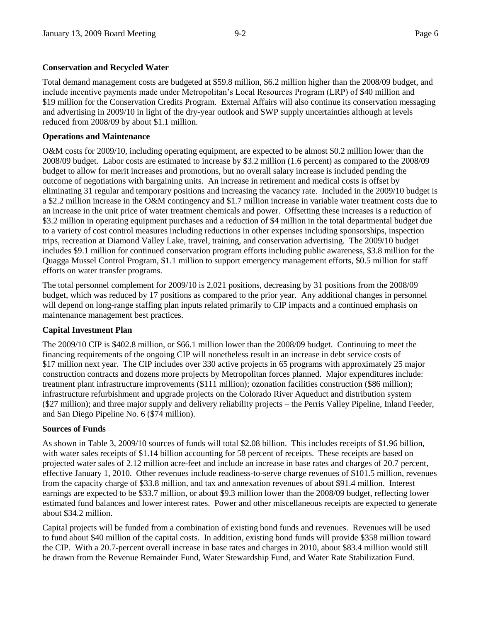#### **Conservation and Recycled Water**

Total demand management costs are budgeted at \$59.8 million, \$6.2 million higher than the 2008/09 budget, and include incentive payments made under Metropolitan's Local Resources Program (LRP) of \$40 million and \$19 million for the Conservation Credits Program. External Affairs will also continue its conservation messaging and advertising in 2009/10 in light of the dry-year outlook and SWP supply uncertainties although at levels reduced from 2008/09 by about \$1.1 million.

#### **Operations and Maintenance**

O&M costs for 2009/10, including operating equipment, are expected to be almost \$0.2 million lower than the 2008/09 budget. Labor costs are estimated to increase by \$3.2 million (1.6 percent) as compared to the 2008/09 budget to allow for merit increases and promotions, but no overall salary increase is included pending the outcome of negotiations with bargaining units. An increase in retirement and medical costs is offset by eliminating 31 regular and temporary positions and increasing the vacancy rate. Included in the 2009/10 budget is a \$2.2 million increase in the O&M contingency and \$1.7 million increase in variable water treatment costs due to an increase in the unit price of water treatment chemicals and power. Offsetting these increases is a reduction of \$3.2 million in operating equipment purchases and a reduction of \$4 million in the total departmental budget due to a variety of cost control measures including reductions in other expenses including sponsorships, inspection trips, recreation at Diamond Valley Lake, travel, training, and conservation advertising. The 2009/10 budget includes \$9.1 million for continued conservation program efforts including public awareness, \$3.8 million for the Quagga Mussel Control Program, \$1.1 million to support emergency management efforts, \$0.5 million for staff efforts on water transfer programs.

The total personnel complement for 2009/10 is 2,021 positions, decreasing by 31 positions from the 2008/09 budget, which was reduced by 17 positions as compared to the prior year. Any additional changes in personnel will depend on long-range staffing plan inputs related primarily to CIP impacts and a continued emphasis on maintenance management best practices.

#### **Capital Investment Plan**

The 2009/10 CIP is \$402.8 million, or \$66.1 million lower than the 2008/09 budget. Continuing to meet the financing requirements of the ongoing CIP will nonetheless result in an increase in debt service costs of \$17 million next year. The CIP includes over 330 active projects in 65 programs with approximately 25 major construction contracts and dozens more projects by Metropolitan forces planned. Major expenditures include: treatment plant infrastructure improvements (\$111 million); ozonation facilities construction (\$86 million); infrastructure refurbishment and upgrade projects on the Colorado River Aqueduct and distribution system (\$27 million); and three major supply and delivery reliability projects – the Perris Valley Pipeline, Inland Feeder, and San Diego Pipeline No. 6 (\$74 million).

#### **Sources of Funds**

As shown in Table 3, 2009/10 sources of funds will total \$2.08 billion. This includes receipts of \$1.96 billion, with water sales receipts of \$1.14 billion accounting for 58 percent of receipts. These receipts are based on projected water sales of 2.12 million acre-feet and include an increase in base rates and charges of 20.7 percent, effective January 1, 2010. Other revenues include readiness-to-serve charge revenues of \$101.5 million, revenues from the capacity charge of \$33.8 million, and tax and annexation revenues of about \$91.4 million. Interest earnings are expected to be \$33.7 million, or about \$9.3 million lower than the 2008/09 budget, reflecting lower estimated fund balances and lower interest rates. Power and other miscellaneous receipts are expected to generate about \$34.2 million.

Capital projects will be funded from a combination of existing bond funds and revenues. Revenues will be used to fund about \$40 million of the capital costs. In addition, existing bond funds will provide \$358 million toward the CIP. With a 20.7-percent overall increase in base rates and charges in 2010, about \$83.4 million would still be drawn from the Revenue Remainder Fund, Water Stewardship Fund, and Water Rate Stabilization Fund.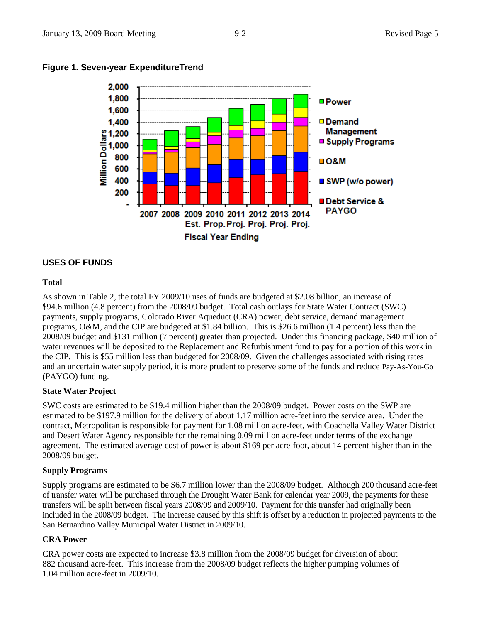

#### **Figure 1. Seven-year ExpenditureTrend**

#### **USES OF FUNDS**

#### **Total**

As shown in Table 2, the total FY 2009/10 uses of funds are budgeted at \$2.08 billion, an increase of \$94.6 million (4.8 percent) from the 2008/09 budget. Total cash outlays for State Water Contract (SWC) payments, supply programs, Colorado River Aqueduct (CRA) power, debt service, demand management programs, O&M, and the CIP are budgeted at \$1.84 billion. This is \$26.6 million (1.4 percent) less than the 2008/09 budget and \$131 million (7 percent) greater than projected. Under this financing package, \$40 million of water revenues will be deposited to the Replacement and Refurbishment fund to pay for a portion of this work in the CIP. This is \$55 million less than budgeted for 2008/09. Given the challenges associated with rising rates and an uncertain water supply period, it is more prudent to preserve some of the funds and reduce Pay-As-You-Go (PAYGO) funding.

#### **State Water Project**

SWC costs are estimated to be \$19.4 million higher than the 2008/09 budget. Power costs on the SWP are estimated to be \$197.9 million for the delivery of about 1.17 million acre-feet into the service area. Under the contract, Metropolitan is responsible for payment for 1.08 million acre-feet, with Coachella Valley Water District and Desert Water Agency responsible for the remaining 0.09 million acre-feet under terms of the exchange agreement. The estimated average cost of power is about \$169 per acre-foot, about 14 percent higher than in the 2008/09 budget.

#### **Supply Programs**

Supply programs are estimated to be \$6.7 million lower than the 2008/09 budget. Although 200 thousand acre-feet of transfer water will be purchased through the Drought Water Bank for calendar year 2009, the payments for these transfers will be split between fiscal years 2008/09 and 2009/10. Payment for this transfer had originally been included in the 2008/09 budget. The increase caused by this shift is offset by a reduction in projected payments to the San Bernardino Valley Municipal Water District in 2009/10.

#### **CRA Power**

CRA power costs are expected to increase \$3.8 million from the 2008/09 budget for diversion of about 882 thousand acre-feet. This increase from the 2008/09 budget reflects the higher pumping volumes of 1.04 million acre-feet in 2009/10.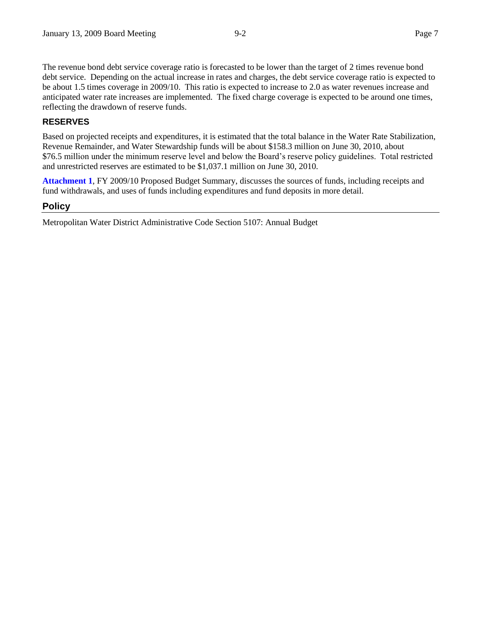The revenue bond debt service coverage ratio is forecasted to be lower than the target of 2 times revenue bond debt service. Depending on the actual increase in rates and charges, the debt service coverage ratio is expected to be about 1.5 times coverage in 2009/10. This ratio is expected to increase to 2.0 as water revenues increase and anticipated water rate increases are implemented. The fixed charge coverage is expected to be around one times, reflecting the drawdown of reserve funds.

## **RESERVES**

Based on projected receipts and expenditures, it is estimated that the total balance in the Water Rate Stabilization, Revenue Remainder, and Water Stewardship funds will be about \$158.3 million on June 30, 2010, about \$76.5 million under the minimum reserve level and below the Board's reserve policy guidelines. Total restricted and unrestricted reserves are estimated to be \$1,037.1 million on June 30, 2010.

**Attachment 1**, FY 2009/10 Proposed Budget Summary, discusses the sources of funds, including receipts and fund withdrawals, and uses of funds including expenditures and fund deposits in more detail.

#### **Policy**

Metropolitan Water District Administrative Code Section 5107: Annual Budget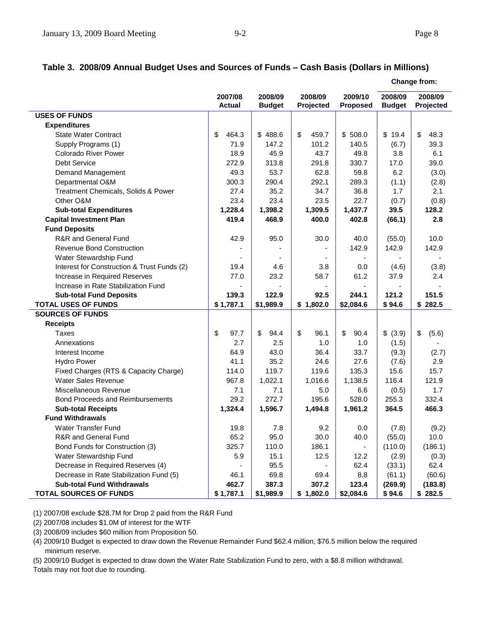# **Table 3. 2008/09 Annual Budget Uses and Sources of Funds – Cash Basis (Dollars in Millions)**

|                                             |                          |                          |                      |                     | <b>Change from:</b>      |                      |  |  |
|---------------------------------------------|--------------------------|--------------------------|----------------------|---------------------|--------------------------|----------------------|--|--|
|                                             | 2007/08<br><b>Actual</b> | 2008/09<br><b>Budget</b> | 2008/09<br>Projected | 2009/10<br>Proposed | 2008/09<br><b>Budget</b> | 2008/09<br>Projected |  |  |
| <b>USES OF FUNDS</b>                        |                          |                          |                      |                     |                          |                      |  |  |
| <b>Expenditures</b>                         |                          |                          |                      |                     |                          |                      |  |  |
| <b>State Water Contract</b>                 | \$<br>464.3              | \$488.6                  | \$<br>459.7          | \$508.0             | \$19.4                   | \$<br>48.3           |  |  |
| Supply Programs (1)                         | 71.9                     | 147.2                    | 101.2                | 140.5               | (6.7)                    | 39.3                 |  |  |
| <b>Colorado River Power</b>                 | 18.9                     | 45.9                     | 43.7                 | 49.8                | 3.8                      | 6.1                  |  |  |
| <b>Debt Service</b>                         | 272.9                    | 313.8                    | 291.8                | 330.7               | 17.0                     | 39.0                 |  |  |
| Demand Management                           | 49.3                     | 53.7                     | 62.8                 | 59.8                | 6.2                      | (3.0)                |  |  |
| Departmental O&M                            | 300.3                    | 290.4                    | 292.1                | 289.3               | (1.1)                    | (2.8)                |  |  |
| Treatment Chemicals, Solids & Power         | 27.4                     | 35.2                     | 34.7                 | 36.8                | 1.7                      | 2.1                  |  |  |
| Other O&M                                   | 23.4                     | 23.4                     | 23.5                 | 22.7                | (0.7)                    | (0.8)                |  |  |
| <b>Sub-total Expenditures</b>               | 1,228.4                  | 1,398.2                  | 1,309.5              | 1,437.7             | 39.5                     | 128.2                |  |  |
| <b>Capital Investment Plan</b>              | 419.4                    | 468.9                    | 400.0                | 402.8               | (66.1)                   | 2.8                  |  |  |
| <b>Fund Deposits</b>                        |                          |                          |                      |                     |                          |                      |  |  |
| R&R and General Fund                        | 42.9                     | 95.0                     | 30.0                 | 40.0                | (55.0)                   | 10.0                 |  |  |
| <b>Revenue Bond Construction</b>            |                          |                          |                      | 142.9               | 142.9                    | 142.9                |  |  |
| Water Stewardship Fund                      |                          |                          |                      |                     |                          |                      |  |  |
| Interest for Construction & Trust Funds (2) | 19.4                     | 4.6                      | 3.8                  | 0.0                 | (4.6)                    | (3.8)                |  |  |
| Increase in Required Reserves               | 77.0                     | 23.2                     | 58.7                 | 61.2                | 37.9                     | 2.4                  |  |  |
| Increase in Rate Stabilization Fund         |                          |                          |                      |                     |                          |                      |  |  |
| <b>Sub-total Fund Deposits</b>              | 139.3                    | 122.9                    | 92.5                 | 244.1               | 121.2                    | 151.5                |  |  |
| <b>TOTAL USES OF FUNDS</b>                  | \$1,787.1                | \$1,989.9                | \$1,802.0            | \$2,084.6           | \$94.6                   | \$282.5              |  |  |
| <b>SOURCES OF FUNDS</b>                     |                          |                          |                      |                     |                          |                      |  |  |
| <b>Receipts</b>                             |                          |                          |                      |                     |                          |                      |  |  |
| Taxes                                       | \$<br>97.7               | \$<br>94.4               | \$<br>96.1           | \$<br>90.4          | \$ (3.9)                 | \$<br>(5.6)          |  |  |
| Annexations                                 | 2.7                      | 2.5                      | 1.0                  | 1.0                 | (1.5)                    |                      |  |  |
| Interest Income                             | 64.9                     | 43.0                     | 36.4                 | 33.7                | (9.3)                    | (2.7)                |  |  |
| <b>Hydro Power</b>                          | 41.1                     | 35.2                     | 24.6                 | 27.6                | (7.6)                    | 2.9                  |  |  |
| Fixed Charges (RTS & Capacity Charge)       | 114.0                    | 119.7                    | 119.6                | 135.3               | 15.6                     | 15.7                 |  |  |
| <b>Water Sales Revenue</b>                  | 967.8                    | 1,022.1                  | 1,016.6              | 1,138.5             | 116.4                    | 121.9                |  |  |
| Miscellaneous Revenue                       | 7.1                      | 7.1                      | 5.0                  | 6.6                 | (0.5)                    | 1.7                  |  |  |
| Bond Proceeds and Reimbursements            | 29.2                     | 272.7                    | 195.6                | 528.0               | 255.3                    | 332.4                |  |  |
| <b>Sub-total Receipts</b>                   | 1,324.4                  | 1,596.7                  | 1,494.8              | 1,961.2             | 364.5                    | 466.3                |  |  |
| <b>Fund Withdrawals</b>                     |                          |                          |                      |                     |                          |                      |  |  |
| <b>Water Transfer Fund</b>                  | 19.8                     | 7.8                      | 9.2                  | 0.0                 | (7.8)                    | (9.2)                |  |  |
| R&R and General Fund                        | 65.2                     | 95.0                     | 30.0                 | 40.0                | (55.0)                   | 10.0                 |  |  |
| Bond Funds for Construction (3)             | 325.7                    | 110.0                    | 186.1                |                     | (110.0)                  | (186.1)              |  |  |
| Water Stewardship Fund                      | 5.9                      | 15.1                     | 12.5                 | 12.2                | (2.9)                    | (0.3)                |  |  |
| Decrease in Required Reserves (4)           |                          | 95.5                     |                      | 62.4                | (33.1)                   | 62.4                 |  |  |
| Decrease in Rate Stabilization Fund (5)     | 46.1                     | 69.8                     | 69.4                 | 8.8                 | (61.1)                   | (60.6)               |  |  |
| <b>Sub-total Fund Withdrawals</b>           | 462.7                    | 387.3                    | 307.2                | 123.4               | (269.9)                  | (183.8)              |  |  |
| <b>TOTAL SOURCES OF FUNDS</b>               | \$1,787.1                | \$1,989.9                | \$1,802.0            | \$2,084.6           | \$94.6                   | \$282.5              |  |  |

(1) 2007/08 exclude \$28.7M for Drop 2 paid from the R&R Fund

(2) 2007/08 includes \$1.0M of interest for the WTF

(3) 2008/09 includes \$60 million from Proposition 50.

(4) 2009/10 Budget is expected to draw down the Revenue Remainder Fund \$62.4 million, \$76.5 million below the required minimum reserve.

(5) 2009/10 Budget is expected to draw down the Water Rate Stabilization Fund to zero, with a \$8.8 million withdrawal.

Totals may not foot due to rounding.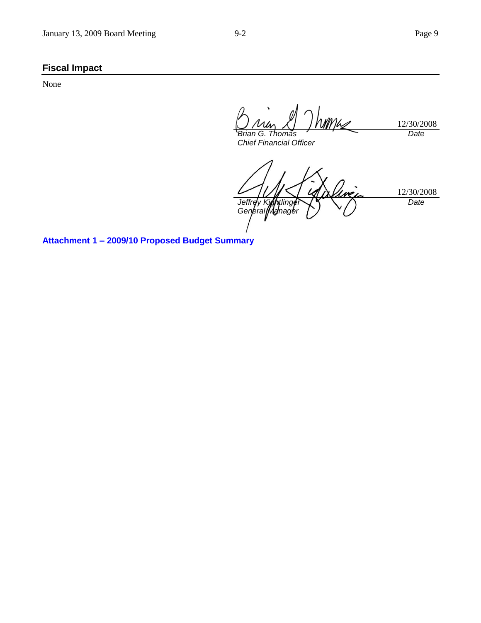# **Fiscal Impact**

None

mm/c 12/30/2008 *Brian G. Thomas Date Chief Financial Officer*

12/30/2008 *Jeffrey Kightlinger General Manager Date*

**Attachment 1 – 2009/10 Proposed Budget Summary**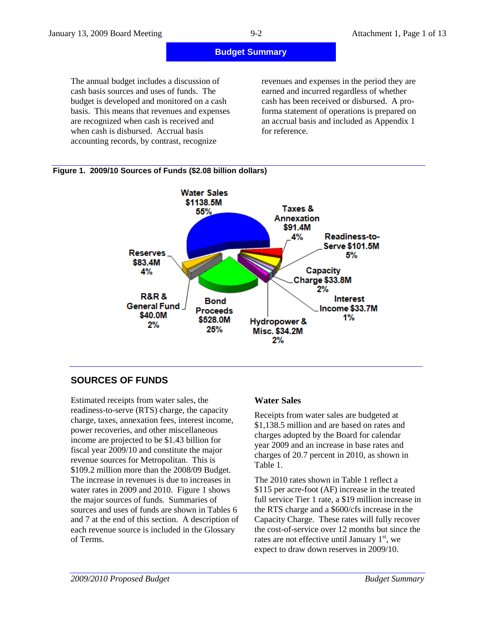| January 13, 2009 Board Meeting                                                                                                                                                                                                                                                                                            |                         | $9 - 2$                                                     | Attachment 1, Page 1 of 13                                                                                                                                                                 |
|---------------------------------------------------------------------------------------------------------------------------------------------------------------------------------------------------------------------------------------------------------------------------------------------------------------------------|-------------------------|-------------------------------------------------------------|--------------------------------------------------------------------------------------------------------------------------------------------------------------------------------------------|
|                                                                                                                                                                                                                                                                                                                           |                         | <b>Budget Summary</b>                                       |                                                                                                                                                                                            |
| The annual budget includes a discussion of<br>cash basis sources and uses of funds. The<br>budget is developed and monitored on a cash<br>basis. This means that revenues and expenses<br>are recognized when cash is received and<br>when cash is disbursed. Accrual basis<br>accounting records, by contrast, recognize |                         | earned and incurred regardless of whether<br>for reference. | revenues and expenses in the period they are<br>cash has been received or disbursed. A pro-<br>forma statement of operations is prepared on<br>an accrual basis and included as Appendix 1 |
| Figure 1. 2009/10 Sources of Funds (\$2.08 billion dollars)                                                                                                                                                                                                                                                               |                         |                                                             |                                                                                                                                                                                            |
|                                                                                                                                                                                                                                                                                                                           | $M = 1 - 2 - 3 - 1 - 1$ |                                                             |                                                                                                                                                                                            |



**SOURCES OF FUNDS**

Estimated receipts from water sales, the readiness-to-serve (RTS) charge, the capacity charge, taxes, annexation fees, interest income, power recoveries, and other miscellaneous income are projected to be \$1.43 billion for fiscal year 2009/10 and constitute the major revenue sources for Metropolitan. This is \$109.2 million more than the 2008/09 Budget. The increase in revenues is due to increases in water rates in 2009 and 2010. Figure 1 shows the major sources of funds. Summaries of sources and uses of funds are shown in Tables 6 and 7 at the end of this section. A description of each revenue source is included in the Glossary of Terms.

#### **Water Sales**

Receipts from water sales are budgeted at \$1,138.5 million and are based on rates and charges adopted by the Board for calendar year 2009 and an increase in base rates and charges of 20.7 percent in 2010, as shown in Table 1.

The 2010 rates shown in Table 1 reflect a \$115 per acre-foot (AF) increase in the treated full service Tier 1 rate, a \$19 million increase in the RTS charge and a \$600/cfs increase in the Capacity Charge. These rates will fully recover the cost-of-service over 12 months but since the rates are not effective until January  $1<sup>st</sup>$ , we expect to draw down reserves in 2009/10.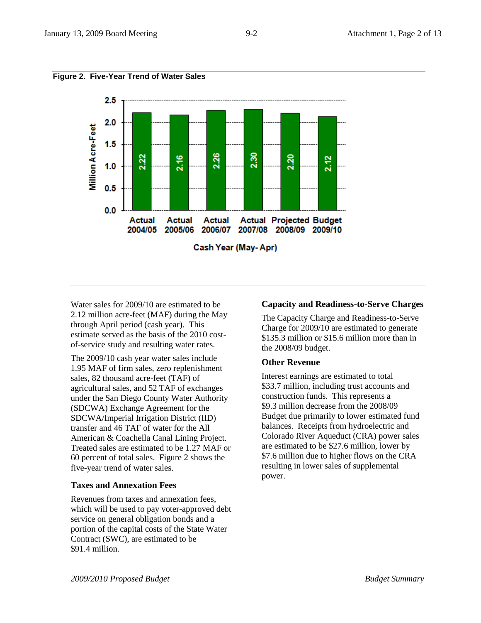



Water sales for 2009/10 are estimated to be 2.12 million acre-feet (MAF) during the May through April period (cash year). This estimate served as the basis of the 2010 costof-service study and resulting water rates.

The 2009/10 cash year water sales include 1.95 MAF of firm sales, zero replenishment sales, 82 thousand acre-feet (TAF) of agricultural sales, and 52 TAF of exchanges under the San Diego County Water Authority (SDCWA) Exchange Agreement for the SDCWA/Imperial Irrigation District (IID) transfer and 46 TAF of water for the All American & Coachella Canal Lining Project. Treated sales are estimated to be 1.27 MAF or 60 percent of total sales. Figure 2 shows the five-year trend of water sales.

# **Taxes and Annexation Fees**

Revenues from taxes and annexation fees, which will be used to pay voter-approved debt service on general obligation bonds and a portion of the capital costs of the State Water Contract (SWC), are estimated to be \$91.4 million.

#### **Capacity and Readiness-to-Serve Charges**

The Capacity Charge and Readiness-to-Serve Charge for 2009/10 are estimated to generate \$135.3 million or \$15.6 million more than in the 2008/09 budget.

#### **Other Revenue**

Interest earnings are estimated to total \$33.7 million, including trust accounts and construction funds. This represents a \$9.3 million decrease from the 2008/09 Budget due primarily to lower estimated fund balances. Receipts from hydroelectric and Colorado River Aqueduct (CRA) power sales are estimated to be \$27.6 million, lower by \$7.6 million due to higher flows on the CRA resulting in lower sales of supplemental power.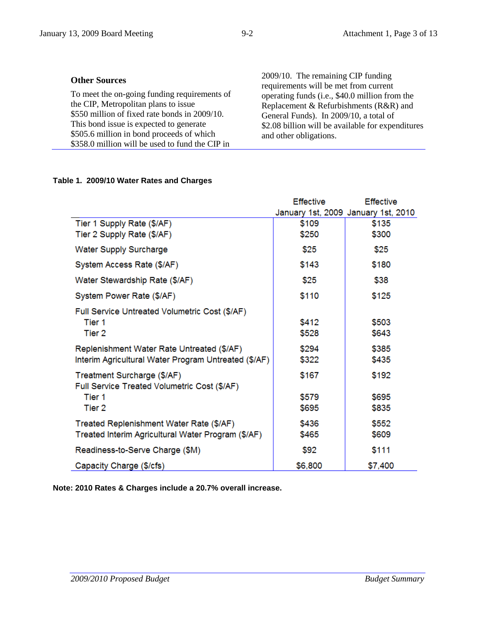#### **Table 1. 2009/10 Water Rates and Charges**

|                                                      | <b>Effective</b> | <b>Effective</b>                    |
|------------------------------------------------------|------------------|-------------------------------------|
|                                                      |                  | January 1st, 2009 January 1st, 2010 |
| Tier 1 Supply Rate (\$/AF)                           | \$109            | \$135                               |
| Tier 2 Supply Rate (\$/AF)                           | \$250            | \$300                               |
| <b>Water Supply Surcharge</b>                        | \$25             | \$25                                |
| System Access Rate (\$/AF)                           | \$143            | \$180                               |
| Water Stewardship Rate (\$/AF)                       | \$25             | \$38                                |
| System Power Rate (\$/AF)                            | \$110            | \$125                               |
| Full Service Untreated Volumetric Cost (\$/AF)       |                  |                                     |
| Tier 1                                               | \$412            | \$503                               |
| Tier 2                                               | \$528            | \$643                               |
| Replenishment Water Rate Untreated (\$/AF)           | \$294            | \$385                               |
| Interim Agricultural Water Program Untreated (\$/AF) | \$322            | \$435                               |
| Treatment Surcharge (\$/AF)                          | \$167            | \$192                               |
| Full Service Treated Volumetric Cost (\$/AF)         |                  |                                     |
| Tier 1                                               | \$579            | \$695                               |
| Tier 2                                               | \$695            | \$835                               |
| Treated Replenishment Water Rate (\$/AF)             | \$436            | \$552                               |
| Treated Interim Agricultural Water Program (\$/AF)   | \$465            | \$609                               |
| Readiness-to-Serve Charge (\$M)                      | \$92             | \$111                               |
| Capacity Charge (\$/cfs)                             | \$6,800          | \$7,400                             |

**Note: 2010 Rates & Charges include a 20.7% overall increase.**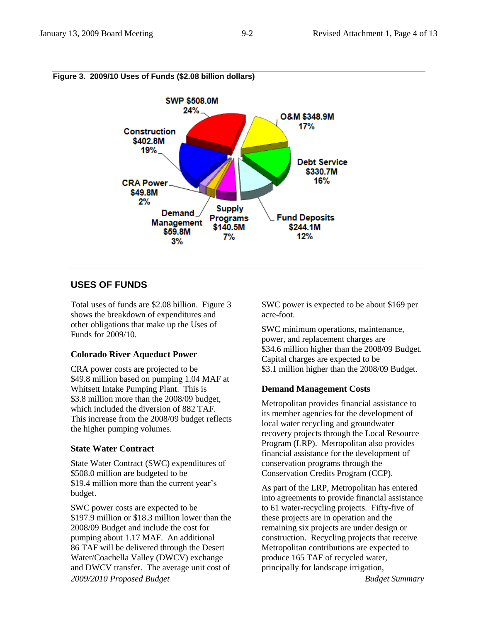

## **Figure 3. 2009/10 Uses of Funds (\$2.08 billion dollars)**

# **USES OF FUNDS**

Total uses of funds are \$2.08 billion. Figure 3 shows the breakdown of expenditures and other obligations that make up the Uses of Funds for 2009/10.

# **Colorado River Aqueduct Power**

CRA power costs are projected to be \$49.8 million based on pumping 1.04 MAF at Whitsett Intake Pumping Plant. This is \$3.8 million more than the 2008/09 budget, which included the diversion of 882 TAF. This increase from the 2008/09 budget reflects the higher pumping volumes.

# **State Water Contract**

State Water Contract (SWC) expenditures of \$508.0 million are budgeted to be \$19.4 million more than the current year's budget.

SWC power costs are expected to be \$197.9 million or \$18.3 million lower than the 2008/09 Budget and include the cost for pumping about 1.17 MAF. An additional 86 TAF will be delivered through the Desert Water/Coachella Valley (DWCV) exchange and DWCV transfer. The average unit cost of

SWC power is expected to be about \$169 per acre-foot.

SWC minimum operations, maintenance, power, and replacement charges are \$34.6 million higher than the 2008/09 Budget. Capital charges are expected to be \$3.1 million higher than the 2008/09 Budget.

# **Demand Management Costs**

Metropolitan provides financial assistance to its member agencies for the development of local water recycling and groundwater recovery projects through the Local Resource Program (LRP). Metropolitan also provides financial assistance for the development of conservation programs through the Conservation Credits Program (CCP).

As part of the LRP, Metropolitan has entered into agreements to provide financial assistance to 61 water-recycling projects. Fifty-five of these projects are in operation and the remaining six projects are under design or construction. Recycling projects that receive Metropolitan contributions are expected to produce 165 TAF of recycled water, principally for landscape irrigation,

*2009/2010 Proposed Budget Budget Summary*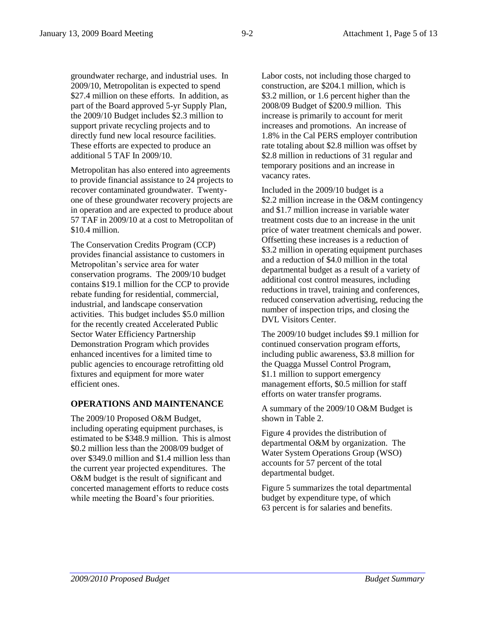groundwater recharge, and industrial uses. In 2009/10, Metropolitan is expected to spend \$27.4 million on these efforts. In addition, as part of the Board approved 5-yr Supply Plan, the 2009/10 Budget includes \$2.3 million to support private recycling projects and to directly fund new local resource facilities.

These efforts are expected to produce an additional 5 TAF In 2009/10. Metropolitan has also entered into agreements

to provide financial assistance to 24 projects to recover contaminated groundwater. Twentyone of these groundwater recovery projects are in operation and are expected to produce about 57 TAF in 2009/10 at a cost to Metropolitan of \$10.4 million.

The Conservation Credits Program (CCP) provides financial assistance to customers in Metropolitan's service area for water conservation programs. The 2009/10 budget contains \$19.1 million for the CCP to provide rebate funding for residential, commercial, industrial, and landscape conservation activities. This budget includes \$5.0 million for the recently created Accelerated Public Sector Water Efficiency Partnership Demonstration Program which provides enhanced incentives for a limited time to public agencies to encourage retrofitting old fixtures and equipment for more water efficient ones.

#### **OPERATIONS AND MAINTENANCE**

The 2009/10 Proposed O&M Budget, including operating equipment purchases, is estimated to be \$348.9 million. This is almost \$0.2 million less than the 2008/09 budget of over \$349.0 million and \$1.4 million less than the current year projected expenditures. The O&M budget is the result of significant and concerted management efforts to reduce costs while meeting the Board's four priorities.

Labor costs, not including those charged to construction, are \$204.1 million, which is \$3.2 million, or 1.6 percent higher than the 2008/09 Budget of \$200.9 million. This increase is primarily to account for merit increases and promotions. An increase of 1.8% in the Cal PERS employer contribution rate totaling about \$2.8 million was offset by \$2.8 million in reductions of 31 regular and temporary positions and an increase in vacancy rates.

Included in the 2009/10 budget is a \$2.2 million increase in the O&M contingency and \$1.7 million increase in variable water treatment costs due to an increase in the unit price of water treatment chemicals and power. Offsetting these increases is a reduction of \$3.2 million in operating equipment purchases and a reduction of \$4.0 million in the total departmental budget as a result of a variety of additional cost control measures, including reductions in travel, training and conferences, reduced conservation advertising, reducing the number of inspection trips, and closing the DVL Visitors Center.

The 2009/10 budget includes \$9.1 million for continued conservation program efforts, including public awareness, \$3.8 million for the Quagga Mussel Control Program, \$1.1 million to support emergency management efforts, \$0.5 million for staff efforts on water transfer programs.

A summary of the 2009/10 O&M Budget is shown in Table 2.

Figure 4 provides the distribution of departmental O&M by organization. The Water System Operations Group (WSO) accounts for 57 percent of the total departmental budget.

Figure 5 summarizes the total departmental budget by expenditure type, of which 63 percent is for salaries and benefits.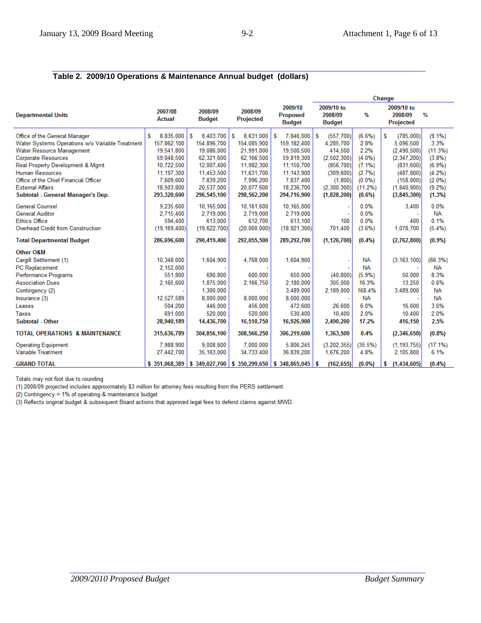# **Table 2. 2009/10 Operations & Maintenance Annual budget (dollars)**

|                                                 |                          |                          |                                                       |                                             | Change                                 |            |                                    |            |  |  |
|-------------------------------------------------|--------------------------|--------------------------|-------------------------------------------------------|---------------------------------------------|----------------------------------------|------------|------------------------------------|------------|--|--|
| <b>Departmental Units</b>                       | 2007/08<br><b>Actual</b> | 2008/09<br><b>Budget</b> | 2008/09<br>Projected                                  | 2009/10<br><b>Proposed</b><br><b>Budget</b> | 2009/10 to<br>2008/09<br><b>Budget</b> | %          | 2009/10 to<br>2008/09<br>Projected | %          |  |  |
| Office of the General Manager                   | S<br>8,835,000           | S<br>8.403.700           | S<br>8,631,000                                        | S<br>7,846,000                              | S<br>(557,700)                         | (6.6%)     | S<br>(785,000)                     | $(9.1\%)$  |  |  |
| Water Systems Operations w/o Variable Treatment | 157,862,100              | 154,896,700              | 154,085,900                                           | 159, 182, 400                               | 4,285,700                              | 2.8%       | 5,096,500                          | 3.3%       |  |  |
| Water Resource Management                       | 19,541,800               | 19,086,000               | 21,991,000                                            | 19,500,500                                  | 414,500                                | 2.2%       | (2,490,500)                        | (11.3%)    |  |  |
| <b>Corporate Resources</b>                      | 59,048,500               | 62,321,600               | 62,166,500                                            | 59,819,300                                  | (2, 502, 300)                          | $(4.0\%)$  | (2,347,200)                        | (3.8%)     |  |  |
| Real Property Development & Mgmt                | 10,722,500               | 12,007,400               | 11,982,300                                            | 11,150,700                                  | (856, 700)                             | $(7.1\%)$  | (831, 600)                         | (6.9%)     |  |  |
| <b>Human Resources</b>                          | 11.197.300               | 11.453.500               | 11.631.700                                            | 11.143.900                                  | (309, 600)                             | (2.7%)     | (487.800)                          | (4.2%)     |  |  |
| Office of the Chief Financial Officer           | 7.609.600                | 7.839.200                | 7.996.200                                             | 7.837.400                                   | (1,800)                                | $(0.0\%)$  | (158, 800)                         | $(2.0\%)$  |  |  |
| <b>External Affairs</b>                         | 18,503,800               | 20,537,000               | 20.077.600                                            | 18,236,700                                  | (2,300,300)                            | $(11.2\%)$ | (1,840,900)                        | (9.2%)     |  |  |
| Subtotal - General Manager's Dep.               | 293,320,600              | 296,545,100              | 298,562,200                                           | 294,716,900                                 | (1,828,200)                            | $(0.6\%)$  | (3,845,300)                        | (1.3%)     |  |  |
| <b>General Counsel</b>                          | 9,235,600                | 10,165,000               | 10,161,600                                            | 10,165,000                                  |                                        | 0.0%       | 3.400                              | 0.0%       |  |  |
| <b>General Auditor</b>                          | 2,715,400                | 2,719,000                | 2,719,000                                             | 2,719,000                                   |                                        | 0.0%       |                                    | <b>NA</b>  |  |  |
| <b>Ethics Office</b>                            | 594,400                  | 613.000                  | 612,700                                               | 613.100                                     | 100                                    | 0.0%       | 400                                | 0.1%       |  |  |
| Overhead Credit from Construction               | (19, 169, 400)           | (19,622,700)             | (20,000,000)                                          | (18, 921, 300)                              | 701,400                                | (3.6%)     | 1,078,700                          | $(5.4\%)$  |  |  |
| <b>Total Departmental Budget</b>                | 286,696,600              | 290,419,400              | 292,055,500                                           | 289,292,700                                 | (1, 126, 700)                          | (0.4%      | (2,762,800)                        | $(0.9\%)$  |  |  |
| Other O&M                                       |                          |                          |                                                       |                                             |                                        |            |                                    |            |  |  |
| Cargill Settlement (1)                          | 10,348,000               | 1,604,900                | 4,768,000                                             | 1,604,900                                   |                                        | <b>NA</b>  | (3, 163, 100)                      | (66.3%)    |  |  |
| <b>PC</b> Replacement                           | 2.152.000                |                          |                                                       |                                             |                                        | <b>NA</b>  |                                    | <b>NA</b>  |  |  |
| Performance Programs                            | 551,800                  | 690,800                  | 600,000                                               | 650,000                                     | (40, 800)                              | (5.9%)     | 50,000                             | 8.3%       |  |  |
| <b>Association Dues</b>                         | 2,165,600                | 1,875,000                | 2,166,750                                             | 2,180,000                                   | 305,000                                | 16.3%      | 13,250                             | 0.6%       |  |  |
| Contingency (2)                                 |                          | 1,300,000                |                                                       | 3.489.000                                   | 2,189,000                              | 168.4%     | 3,489,000                          | <b>NA</b>  |  |  |
| Insurance (3)                                   | 12,527,589               | 8,000,000                | 8,000,000                                             | 8,000,000                                   |                                        | <b>NA</b>  |                                    | <b>NA</b>  |  |  |
| Leases                                          | 504,200                  | 446,000                  | 456,000                                               | 472,600                                     | 26,600                                 | 6.0%       | 16,600                             | 3.6%       |  |  |
| Taxes                                           | 691,000                  | 520,000                  | 520,000                                               | 530,400                                     | 10,400                                 | 2.0%       | 10,400                             | 2.0%       |  |  |
| Subtotal - Other                                | 28,940,189               | 14,436,700               | 16,510,750                                            | 16,926,900                                  | 2,490,200                              | 17.2%      | 416,150                            | 2.5%       |  |  |
| <b>TOTAL OPERATIONS &amp; MAINTENANCE</b>       | 315,636,789              | 304,856,100              | 308,566,250                                           | 306,219,600                                 | 1,363,500                              | 0.4%       | (2,346,650)                        | (0.8%      |  |  |
| <b>Operating Equipment</b>                      | 7.988.900                | 9.008.600                | 7.000.000                                             | 5.806.245                                   | (3,202,355)                            | (35.5%)    | (1, 193, 755)                      | $(17.1\%)$ |  |  |
| <b>Variable Treatment</b>                       | 27,442,700               | 35,163,000               | 34,733,400                                            | 36,839,200                                  | 1,676,200                              | 4.8%       | 2,105,800                          | 6.1%       |  |  |
| <b>GRAND TOTAL</b>                              | \$351,068,389            |                          | $\vert$ \$ 349,027,700 $\vert$ \$ 350,299,650 $\vert$ | \$348,865,045                               | (162, 655)<br>s.                       | $(0.0\%)$  | (1,434,605)<br>\$                  | (0.4%      |  |  |

Totals may not foot due to rounding

(1) 2008/09 projected includes approximately \$3 million for attorney fees resulting from the PERS settlement.

 $(2)$  Contingency = 1% of operating & maintenance budget

(3) Reflects original budget & subsequent Board actions that approved legal fees to defend claims against MWD.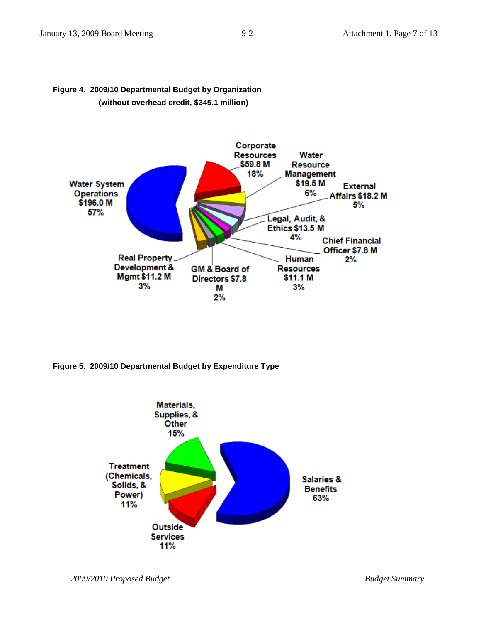

# **Figure 4. 2009/10 Departmental Budget by Organization (without overhead credit, \$345.1 million)**

**Figure 5. 2009/10 Departmental Budget by Expenditure Type**

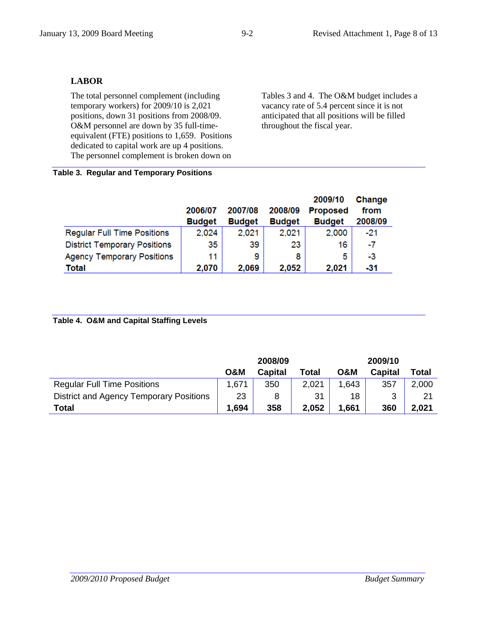# **LABOR**

The total personnel complement (including temporary workers) for 2009/10 is 2,021 positions, down 31 positions from 2008/09. O&M personnel are down by 35 full-timeequivalent (FTE) positions to 1,659. Positions dedicated to capital work are up 4 positions. The personnel complement is broken down on Tables 3 and 4. The O&M budget includes a vacancy rate of 5.4 percent since it is not anticipated that all positions will be filled throughout the fiscal year.

#### **Table 3. Regular and Temporary Positions**

|                                     |               |               |               | 2009/10         | Change  |
|-------------------------------------|---------------|---------------|---------------|-----------------|---------|
|                                     | 2006/07       | 2007/08       | 2008/09       | <b>Proposed</b> | from    |
|                                     | <b>Budget</b> | <b>Budget</b> | <b>Budget</b> | <b>Budget</b>   | 2008/09 |
| <b>Regular Full Time Positions</b>  | 2,024         | 2,021         | 2,021         | 2,000           | $-21$   |
| <b>District Temporary Positions</b> | 35            | 39            | 23            | 16              | -7      |
| <b>Agency Temporary Positions</b>   | 11            | 9             | 8             | 5               | -3      |
| <b>Total</b>                        | 2,070         | 2,069         | 2,052         | 2,021           | $-31$   |

# **Table 4. O&M and Capital Staffing Levels**

|                                         |                | 2008/09        |       | 2009/10        |                |       |  |  |
|-----------------------------------------|----------------|----------------|-------|----------------|----------------|-------|--|--|
|                                         | <b>O&amp;M</b> | <b>Capital</b> | Total | <b>O&amp;M</b> | <b>Capital</b> | Total |  |  |
| <b>Regular Full Time Positions</b>      | 1,671          | 350            | 2,021 | 1,643          | 357            | 2,000 |  |  |
| District and Agency Temporary Positions | 23             |                | 31    | 18             | 3              | 21    |  |  |
| Total                                   | 1,694          | 358            | 2,052 | 1,661          | 360            | 2,021 |  |  |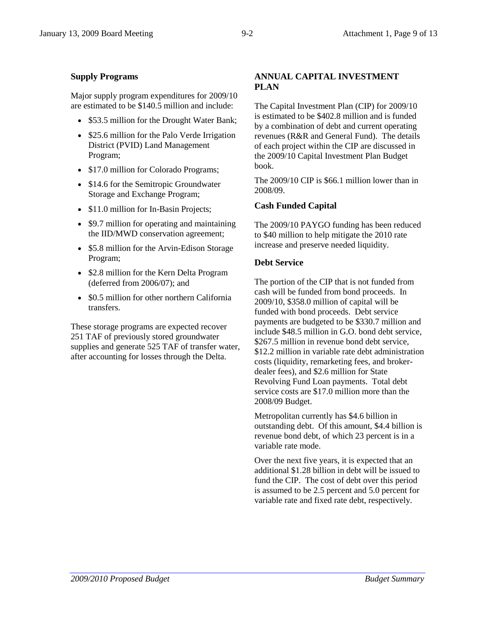# **Supply Programs**

Major supply program expenditures for 2009/10 are estimated to be \$140.5 million and include:

- \$53.5 million for the Drought Water Bank;
- \$25.6 million for the Palo Verde Irrigation District (PVID) Land Management Program;
- \$17.0 million for Colorado Programs;
- \$14.6 for the Semitropic Groundwater Storage and Exchange Program;
- \$11.0 million for In-Basin Projects;
- \$9.7 million for operating and maintaining the IID/MWD conservation agreement;
- \$5.8 million for the Arvin-Edison Storage Program;
- \$2.8 million for the Kern Delta Program (deferred from 2006/07); and
- \$0.5 million for other northern California transfers.

These storage programs are expected recover 251 TAF of previously stored groundwater supplies and generate 525 TAF of transfer water, after accounting for losses through the Delta.

# **ANNUAL CAPITAL INVESTMENT PLAN**

The Capital Investment Plan (CIP) for 2009/10 is estimated to be \$402.8 million and is funded by a combination of debt and current operating revenues (R&R and General Fund). The details of each project within the CIP are discussed in the 2009/10 Capital Investment Plan Budget book.

The 2009/10 CIP is \$66.1 million lower than in 2008/09.

# **Cash Funded Capital**

The 2009/10 PAYGO funding has been reduced to \$40 million to help mitigate the 2010 rate increase and preserve needed liquidity.

# **Debt Service**

The portion of the CIP that is not funded from cash will be funded from bond proceeds. In 2009/10, \$358.0 million of capital will be funded with bond proceeds. Debt service payments are budgeted to be \$330.7 million and include \$48.5 million in G.O. bond debt service, \$267.5 million in revenue bond debt service. \$12.2 million in variable rate debt administration costs (liquidity, remarketing fees, and brokerdealer fees), and \$2.6 million for State Revolving Fund Loan payments. Total debt service costs are \$17.0 million more than the 2008/09 Budget.

Metropolitan currently has \$4.6 billion in outstanding debt. Of this amount, \$4.4 billion is revenue bond debt, of which 23 percent is in a variable rate mode.

Over the next five years, it is expected that an additional \$1.28 billion in debt will be issued to fund the CIP. The cost of debt over this period is assumed to be 2.5 percent and 5.0 percent for variable rate and fixed rate debt, respectively.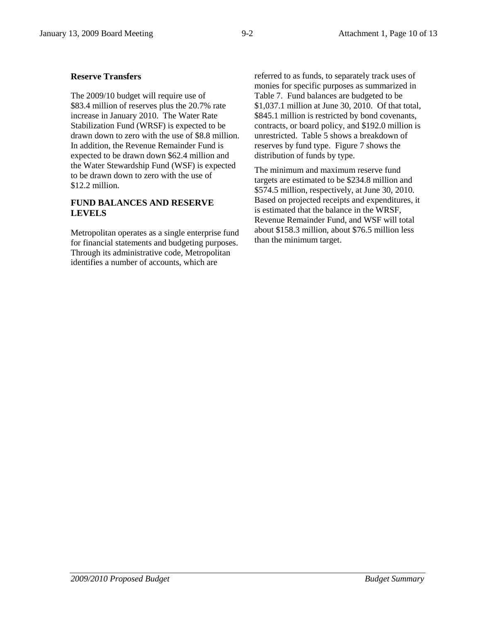# **Reserve Transfers**

The 2009/10 budget will require use of \$83.4 million of reserves plus the 20.7% rate increase in January 2010. The Water Rate Stabilization Fund (WRSF) is expected to be drawn down to zero with the use of \$8.8 million. In addition, the Revenue Remainder Fund is expected to be drawn down \$62.4 million and the Water Stewardship Fund (WSF) is expected to be drawn down to zero with the use of \$12.2 million.

## **FUND BALANCES AND RESERVE LEVELS**

Metropolitan operates as a single enterprise fund for financial statements and budgeting purposes. Through its administrative code, Metropolitan identifies a number of accounts, which are

referred to as funds, to separately track uses of monies for specific purposes as summarized in Table 7. Fund balances are budgeted to be \$1,037.1 million at June 30, 2010. Of that total, \$845.1 million is restricted by bond covenants, contracts, or board policy, and \$192.0 million is unrestricted. Table 5 shows a breakdown of reserves by fund type. Figure 7 shows the distribution of funds by type.

The minimum and maximum reserve fund targets are estimated to be \$234.8 million and \$574.5 million, respectively, at June 30, 2010. Based on projected receipts and expenditures, it is estimated that the balance in the WRSF, Revenue Remainder Fund, and WSF will total about \$158.3 million, about \$76.5 million less than the minimum target.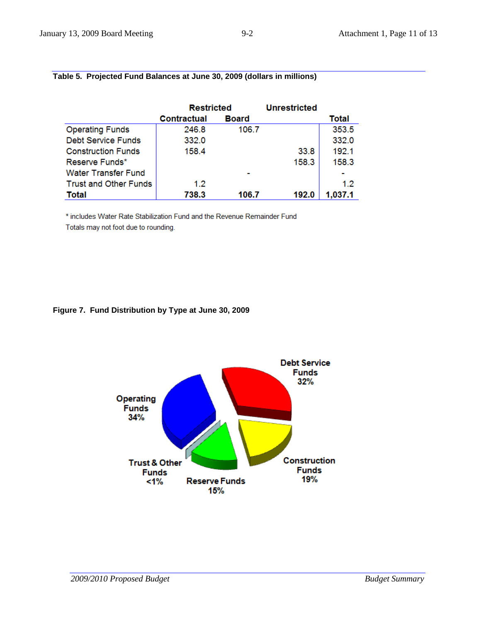|                              | Restricted         |              | <b>Unrestricted</b> |              |
|------------------------------|--------------------|--------------|---------------------|--------------|
|                              | <b>Contractual</b> | <b>Board</b> |                     | <b>Total</b> |
| <b>Operating Funds</b>       | 246.8              | 106.7        |                     | 353.5        |
| <b>Debt Service Funds</b>    | 332.0              |              |                     | 332.0        |
| <b>Construction Funds</b>    | 158.4              |              | 33.8                | 192.1        |
| Reserve Funds*               |                    |              | 158.3               | 158.3        |
| <b>Water Transfer Fund</b>   |                    |              |                     |              |
| <b>Trust and Other Funds</b> | 1.2                |              |                     | 12           |
| <b>Total</b>                 | 738.3              | 106.7        | 192.0               | 1,037.1      |

# **Table 5. Projected Fund Balances at June 30, 2009 (dollars in millions)**

\* includes Water Rate Stabilization Fund and the Revenue Remainder Fund

Totals may not foot due to rounding.

#### **Figure 7. Fund Distribution by Type at June 30, 2009**

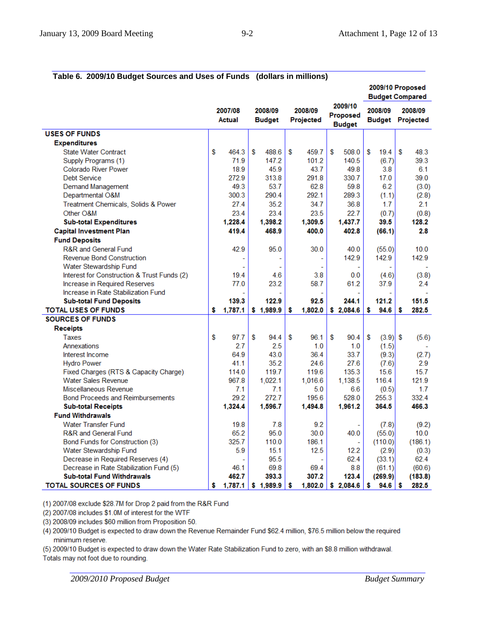| rable 0. 2009/TO Budget Sources and Oses Of Funds (Gonars in Immons) |    |                   |    |                          |    |                      |    |                                      | 2009/10 Proposed<br><b>Budget Compared</b> |            |   |                                    |
|----------------------------------------------------------------------|----|-------------------|----|--------------------------|----|----------------------|----|--------------------------------------|--------------------------------------------|------------|---|------------------------------------|
|                                                                      |    | 2007/08<br>Actual |    | 2008/09<br><b>Budget</b> |    | 2008/09<br>Projected |    | 2009/10<br>Proposed<br><b>Budget</b> |                                            | 2008/09    |   | 2008/09<br><b>Budget Projected</b> |
| <b>USES OF FUNDS</b>                                                 |    |                   |    |                          |    |                      |    |                                      |                                            |            |   |                                    |
| <b>Expenditures</b>                                                  |    |                   |    |                          |    |                      |    |                                      |                                            |            |   |                                    |
| <b>State Water Contract</b>                                          | \$ | 464.3             | S  | 488.6                    | \$ | 459.7                | S  | 508.0                                | S                                          | 19.4       | S | 48.3                               |
| Supply Programs (1)                                                  |    | 71.9              |    | 147.2                    |    | 101.2                |    | 140.5                                |                                            | (6.7)      |   | 39.3                               |
| <b>Colorado River Power</b>                                          |    | 18.9              |    | 45.9                     |    | 43.7                 |    | 49.8                                 |                                            | 3.8        |   | 6.1                                |
| <b>Debt Service</b>                                                  |    | 272.9             |    | 313.8                    |    | 291.8                |    | 330.7                                |                                            | 17.0       |   | 39.0                               |
| <b>Demand Management</b>                                             |    | 49.3              |    | 53.7                     |    | 62.8                 |    | 59.8                                 |                                            | 6.2        |   | (3.0)                              |
| Departmental O&M                                                     |    | 300.3             |    | 290.4                    |    | 292.1                |    | 289.3                                |                                            | (1.1)      |   | (2.8)                              |
| Treatment Chemicals, Solids & Power                                  |    | 27.4              |    | 35.2                     |    | 34.7                 |    | 36.8                                 |                                            | 1.7        |   | 2.1                                |
| Other O&M                                                            |    | 23.4              |    | 23.4                     |    | 23.5                 |    | 22.7                                 |                                            | (0.7)      |   | (0.8)                              |
| <b>Sub-total Expenditures</b>                                        |    | 1,228.4           |    | 1,398.2                  |    | 1,309.5              |    | 1,437.7                              |                                            | 39.5       |   | 128.2                              |
| <b>Capital Investment Plan</b>                                       |    | 419.4             |    | 468.9                    |    | 400.0                |    | 402.8                                |                                            | (66.1)     |   | 2.8                                |
| <b>Fund Deposits</b>                                                 |    |                   |    |                          |    |                      |    |                                      |                                            |            |   |                                    |
| <b>R&amp;R</b> and General Fund                                      |    | 42.9              |    | 95.0                     |    | 30.0                 |    | 40.0                                 |                                            | (55.0)     |   | 10.0                               |
| <b>Revenue Bond Construction</b>                                     |    |                   |    |                          |    |                      |    | 142.9                                |                                            | 142.9      |   | 142.9                              |
| Water Stewardship Fund                                               |    |                   |    |                          |    |                      |    |                                      |                                            |            |   |                                    |
| Interest for Construction & Trust Funds (2)                          |    | 19.4              |    | 4.6                      |    | 3.8                  |    | 0.0                                  |                                            | (4.6)      |   | (3.8)                              |
| Increase in Required Reserves                                        |    | 77.0              |    | 23.2                     |    | 58.7                 |    | 61.2                                 |                                            | 37.9       |   | 2.4                                |
| Increase in Rate Stabilization Fund                                  |    |                   |    |                          |    |                      |    |                                      |                                            |            |   |                                    |
| <b>Sub-total Fund Deposits</b>                                       |    | 139.3             |    | 122.9                    |    | 92.5                 |    | 244.1                                |                                            | 121.2      |   | 151.5                              |
| <b>TOTAL USES OF FUNDS</b>                                           | \$ | 1,787.1           |    | \$1,989.9                | \$ | 1,802.0              |    | \$2,084.6                            | s                                          | 94.6       | s | 282.5                              |
| <b>SOURCES OF FUNDS</b>                                              |    |                   |    |                          |    |                      |    |                                      |                                            |            |   |                                    |
| <b>Receipts</b>                                                      |    |                   |    |                          |    |                      |    |                                      |                                            |            |   |                                    |
| Taxes                                                                | \$ | 97.7              | \$ | 94.4                     | S  | 96.1                 | \$ | 90.4                                 | \$                                         | $(3.9)$ \$ |   | (5.6)                              |
| Annexations                                                          |    | 2.7               |    | 2.5                      |    | 1.0                  |    | 1.0                                  |                                            | (1.5)      |   |                                    |
| Interest Income                                                      |    | 64.9              |    | 43.0                     |    | 36.4                 |    | 33.7                                 |                                            | (9.3)      |   | (2.7)                              |
| <b>Hydro Power</b>                                                   |    | 41.1              |    | 35.2                     |    | 24.6                 |    | 27.6                                 |                                            | (7.6)      |   | 2.9                                |
| Fixed Charges (RTS & Capacity Charge)                                |    | 114.0             |    | 119.7                    |    | 119.6                |    | 135.3                                |                                            | 15.6       |   | 15.7                               |
| <b>Water Sales Revenue</b>                                           |    | 967.8             |    | 1,022.1                  |    | 1,016.6              |    | 1,138.5                              |                                            | 116.4      |   | 121.9                              |
| Miscellaneous Revenue                                                |    | 7.1               |    | 7.1                      |    | 5.0                  |    | 6.6                                  |                                            | (0.5)      |   | 1.7                                |
| <b>Bond Proceeds and Reimbursements</b>                              |    | 29.2              |    | 272.7                    |    | 195.6                |    | 528.0                                |                                            | 255.3      |   | 332.4                              |
| <b>Sub-total Receipts</b>                                            |    | 1,324.4           |    | 1,596.7                  |    | 1,494.8              |    | 1,961.2                              |                                            | 364.5      |   | 466.3                              |
| <b>Fund Withdrawals</b>                                              |    |                   |    |                          |    |                      |    |                                      |                                            |            |   |                                    |
| <b>Water Transfer Fund</b>                                           |    | 19.8              |    | 7.8                      |    | 9.2                  |    |                                      |                                            | (7.8)      |   | (9.2)                              |
| <b>R&amp;R and General Fund</b>                                      |    | 65.2              |    | 95.0                     |    | 30.0                 |    | 40.0                                 |                                            | (55.0)     |   | 10.0                               |
| Bond Funds for Construction (3)                                      |    | 325.7             |    | 110.0                    |    | 186.1                |    | ÷,                                   |                                            | (110.0)    |   | (186.1)                            |
| Water Stewardship Fund                                               |    | 5.9               |    | 15.1                     |    | 12.5                 |    | 12.2                                 |                                            | (2.9)      |   | (0.3)                              |
| Decrease in Required Reserves (4)                                    |    |                   |    | 95.5                     |    |                      |    | 62.4                                 |                                            | (33.1)     |   | 62.4                               |
| Decrease in Rate Stabilization Fund (5)                              |    | 46.1              |    | 69.8                     |    | 69.4                 |    | 8.8                                  |                                            | (61.1)     |   | (60.6)                             |
| <b>Sub-total Fund Withdrawals</b>                                    |    | 462.7             |    | 393.3                    |    | 307.2                |    | 123.4                                |                                            | (269.9)    |   | (183.8)                            |
| <b>TOTAL SOURCES OF FUNDS</b>                                        | \$ | 1,787.1           |    | \$1,989.9                | S  | 1,802.0              |    | \$2,084.6                            | \$                                         | 94.6       | s | 282.5                              |

**Table 6. 2009/10 Budget Sources and Uses of Funds (dollars in millions)** 

(1) 2007/08 exclude \$28.7M for Drop 2 paid from the R&R Fund

(2) 2007/08 includes \$1.0M of interest for the WTF

(3) 2008/09 includes \$60 million from Proposition 50.

(4) 2009/10 Budget is expected to draw down the Revenue Remainder Fund \$62.4 million, \$76.5 million below the required minimum reserve.

(5) 2009/10 Budget is expected to draw down the Water Rate Stabilization Fund to zero, with an \$8.8 million withdrawal.

Totals may not foot due to rounding.